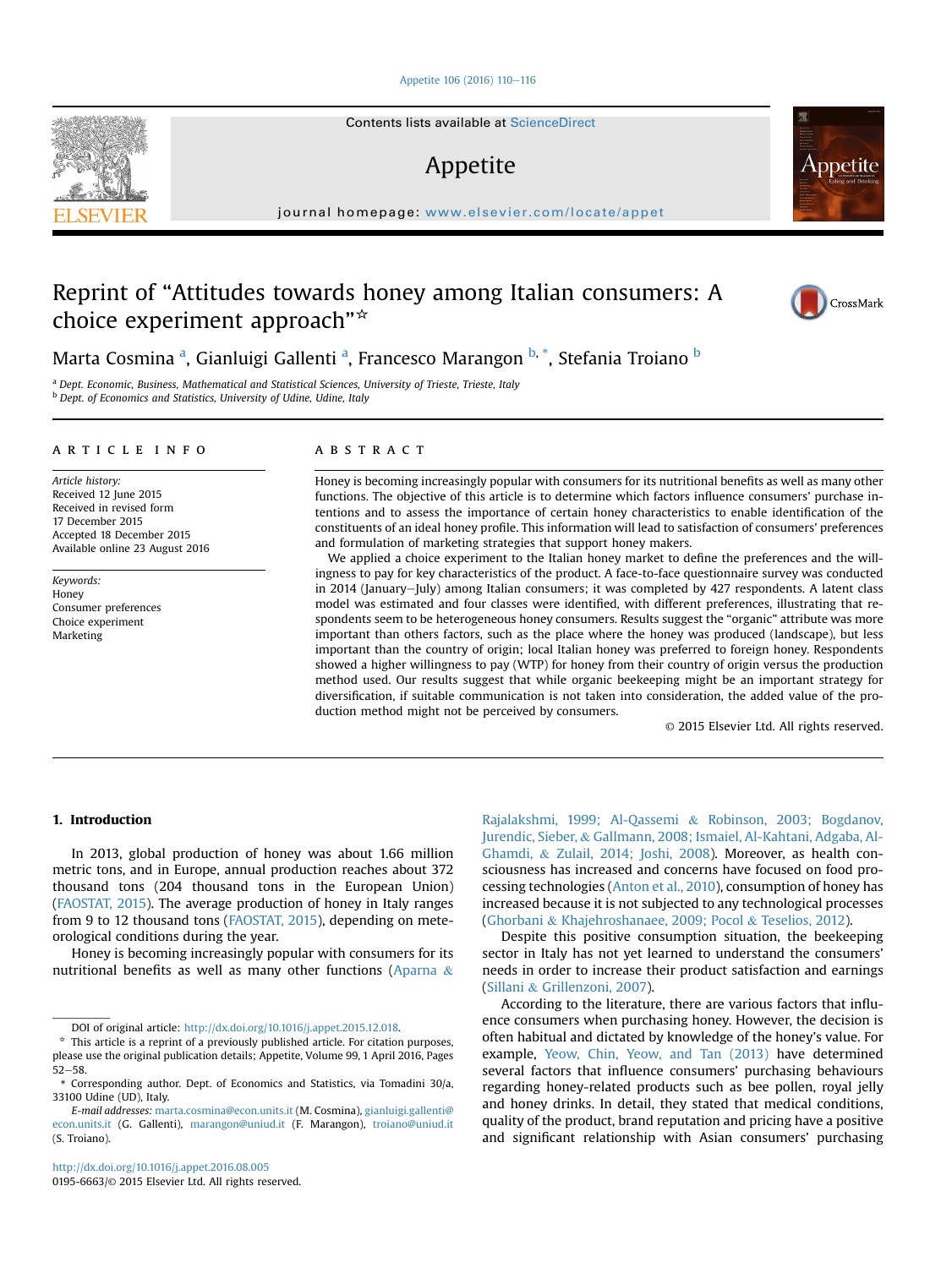#### [Appetite 106 \(2016\) 110](http://dx.doi.org/10.1016/j.appet.2016.08.005)-[116](http://dx.doi.org/10.1016/j.appet.2016.08.005)

Contents lists available at ScienceDirect

# Appetite

journal homepage: <www.elsevier.com/locate/appet>

# Reprint of "Attitudes towards honey among Italian consumers: A choice experiment approach" \*

Marta Cosmina <sup>a</sup>, Gianluigi Gallenti <sup>a</sup>, Francesco Marangon <sup>b, \*</sup>, Stefania Troiano <sup>b</sup>

a Dept. Economic, Business, Mathematical and Statistical Sciences, University of Trieste, Trieste, Italy <sup>b</sup> Dept. of Economics and Statistics, University of Udine, Udine, Italy

#### article info

Article history: Received 12 June 2015 Received in revised form 17 December 2015 Accepted 18 December 2015 Available online 23 August 2016

Keywords: Honey Consumer preferences Choice experiment Marketing

#### **ABSTRACT**

Honey is becoming increasingly popular with consumers for its nutritional benefits as well as many other functions. The objective of this article is to determine which factors influence consumers' purchase intentions and to assess the importance of certain honey characteristics to enable identification of the constituents of an ideal honey profile. This information will lead to satisfaction of consumers' preferences and formulation of marketing strategies that support honey makers.

We applied a choice experiment to the Italian honey market to define the preferences and the willingness to pay for key characteristics of the product. A face-to-face questionnaire survey was conducted in 2014 (January–July) among Italian consumers; it was completed by 427 respondents. A latent class model was estimated and four classes were identified, with different preferences, illustrating that respondents seem to be heterogeneous honey consumers. Results suggest the "organic" attribute was more important than others factors, such as the place where the honey was produced (landscape), but less important than the country of origin; local Italian honey was preferred to foreign honey. Respondents showed a higher willingness to pay (WTP) for honey from their country of origin versus the production method used. Our results suggest that while organic beekeeping might be an important strategy for diversification, if suitable communication is not taken into consideration, the added value of the production method might not be perceived by consumers.

© 2015 Elsevier Ltd. All rights reserved.

### 1. Introduction

In 2013, global production of honey was about 1.66 million metric tons, and in Europe, annual production reaches about 372 thousand tons (204 thousand tons in the European Union) ([FAOSTAT, 2015\)](#page-5-0). The average production of honey in Italy ranges from 9 to 12 thousand tons [\(FAOSTAT, 2015\)](#page-5-0), depending on meteorological conditions during the year.

Honey is becoming increasingly popular with consumers for its nutritional benefits as well as many other functions [\(Aparna](#page-5-0) &

[Rajalakshmi, 1999; Al-Qassemi](#page-5-0) & [Robinson, 2003; Bogdanov,](#page-5-0) [Jurendic, Sieber,](#page-5-0) & [Gallmann, 2008; Ismaiel, Al-Kahtani, Adgaba, Al-](#page-5-0)[Ghamdi,](#page-5-0) & [Zulail, 2014; Joshi, 2008](#page-5-0)). Moreover, as health consciousness has increased and concerns have focused on food processing technologies [\(Anton et al., 2010\)](#page-5-0), consumption of honey has increased because it is not subjected to any technological processes ([Ghorbani](#page-5-0) & [Khajehroshanaee, 2009; Pocol](#page-5-0) & [Teselios, 2012\)](#page-5-0). Despite this positive consumption situation, the beekeeping

sector in Italy has not yet learned to understand the consumers' needs in order to increase their product satisfaction and earnings ([Sillani](#page-6-0) & [Grillenzoni, 2007\)](#page-6-0).

According to the literature, there are various factors that influence consumers when purchasing honey. However, the decision is often habitual and dictated by knowledge of the honey's value. For example, [Yeow, Chin, Yeow, and Tan \(2013\)](#page-6-0) have determined several factors that influence consumers' purchasing behaviours regarding honey-related products such as bee pollen, royal jelly and honey drinks. In detail, they stated that medical conditions, quality of the product, brand reputation and pricing have a positive and significant relationship with Asian consumers' purchasing







DOI of original article: <http://dx.doi.org/10.1016/j.appet.2015.12.018>.

This article is a reprint of a previously published article. For citation purposes, please use the original publication details; Appetite, Volume 99, 1 April 2016, Pages  $52 - 58.$ 

<sup>\*</sup> Corresponding author. Dept. of Economics and Statistics, via Tomadini 30/a, 33100 Udine (UD), Italy.

E-mail addresses: [marta.cosmina@econ.units.it](mailto:marta.cosmina@econ.units.it) (M. Cosmina), [gianluigi.gallenti@](mailto:gianluigi.gallenti@econ.units.it) [econ.units.it](mailto:gianluigi.gallenti@econ.units.it) (G. Gallenti), [marangon@uniud.it](mailto:marangon@uniud.it) (F. Marangon), [troiano@uniud.it](mailto:troiano@uniud.it) (S. Troiano).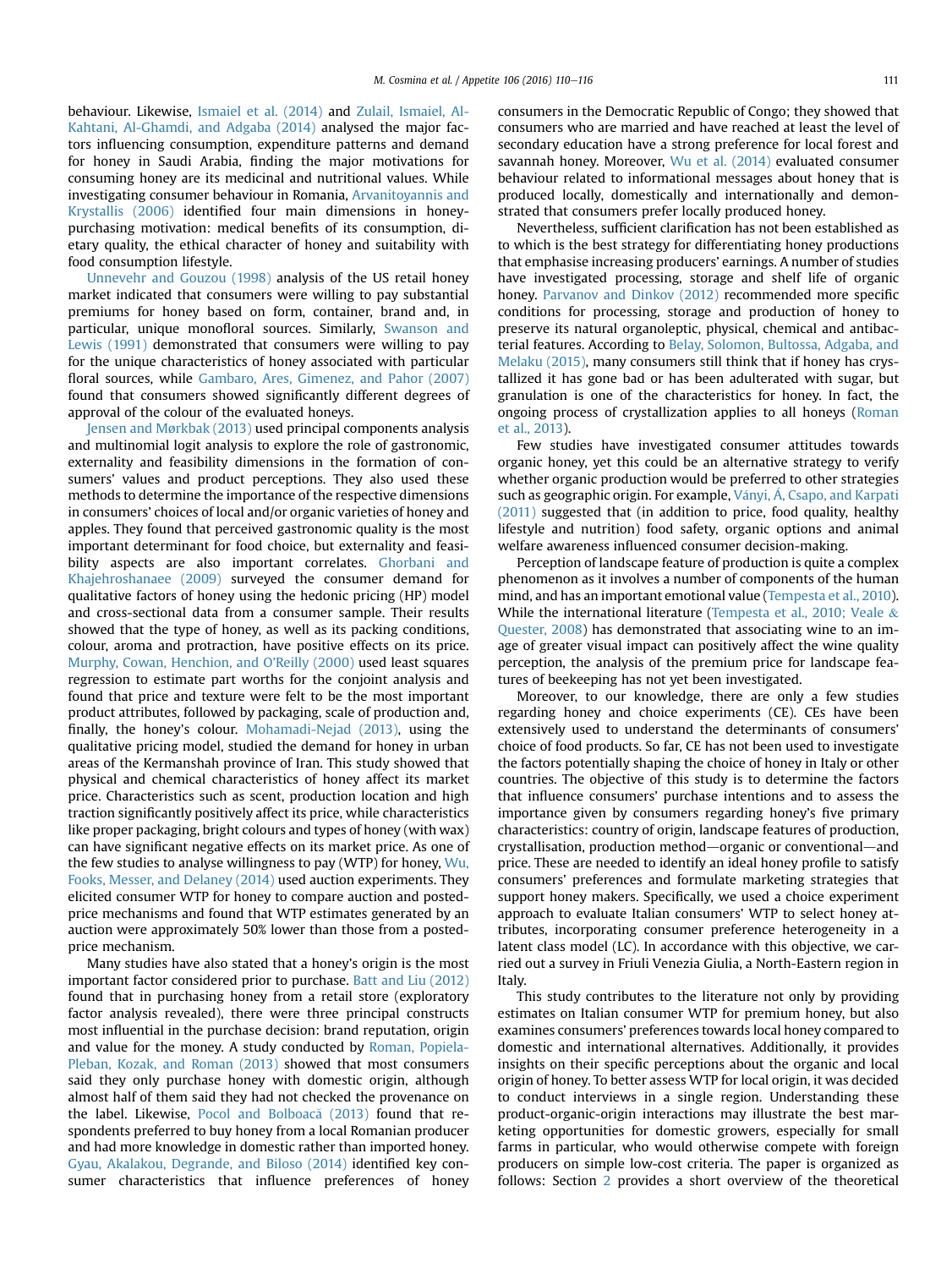behaviour. Likewise, [Ismaiel et al. \(2014\)](#page-5-0) and [Zulail, Ismaiel, Al-](#page-6-0)[Kahtani, Al-Ghamdi, and Adgaba \(2014\)](#page-6-0) analysed the major factors influencing consumption, expenditure patterns and demand for honey in Saudi Arabia, finding the major motivations for consuming honey are its medicinal and nutritional values. While investigating consumer behaviour in Romania, [Arvanitoyannis and](#page-5-0) [Krystallis \(2006\)](#page-5-0) identified four main dimensions in honeypurchasing motivation: medical benefits of its consumption, dietary quality, the ethical character of honey and suitability with food consumption lifestyle.

[Unnevehr and Gouzou \(1998\)](#page-6-0) analysis of the US retail honey market indicated that consumers were willing to pay substantial premiums for honey based on form, container, brand and, in particular, unique monofloral sources. Similarly, [Swanson and](#page-6-0) [Lewis \(1991\)](#page-6-0) demonstrated that consumers were willing to pay for the unique characteristics of honey associated with particular floral sources, while [Gambaro, Ares, Gimenez, and Pahor \(2007\)](#page-5-0) found that consumers showed significantly different degrees of approval of the colour of the evaluated honeys.

[Jensen and M](#page-5-0)ø[rkbak \(2013\)](#page-5-0) used principal components analysis and multinomial logit analysis to explore the role of gastronomic, externality and feasibility dimensions in the formation of consumers' values and product perceptions. They also used these methods to determine the importance of the respective dimensions in consumers' choices of local and/or organic varieties of honey and apples. They found that perceived gastronomic quality is the most important determinant for food choice, but externality and feasi-bility aspects are also important correlates. [Ghorbani and](#page-5-0) [Khajehroshanaee \(2009\)](#page-5-0) surveyed the consumer demand for qualitative factors of honey using the hedonic pricing (HP) model and cross-sectional data from a consumer sample. Their results showed that the type of honey, as well as its packing conditions, colour, aroma and protraction, have positive effects on its price. [Murphy, Cowan, Henchion, and O](#page-6-0)'Reilly (2000) used least squares regression to estimate part worths for the conjoint analysis and found that price and texture were felt to be the most important product attributes, followed by packaging, scale of production and, finally, the honey's colour. [Mohamadi-Nejad \(2013\)](#page-6-0), using the qualitative pricing model, studied the demand for honey in urban areas of the Kermanshah province of Iran. This study showed that physical and chemical characteristics of honey affect its market price. Characteristics such as scent, production location and high traction significantly positively affect its price, while characteristics like proper packaging, bright colours and types of honey (with wax) can have significant negative effects on its market price. As one of the few studies to analyse willingness to pay (WTP) for honey, [Wu,](#page-6-0) [Fooks, Messer, and Delaney \(2014\)](#page-6-0) used auction experiments. They elicited consumer WTP for honey to compare auction and postedprice mechanisms and found that WTP estimates generated by an auction were approximately 50% lower than those from a postedprice mechanism.

Many studies have also stated that a honey's origin is the most important factor considered prior to purchase. [Batt and Liu \(2012\)](#page-5-0) found that in purchasing honey from a retail store (exploratory factor analysis revealed), there were three principal constructs most influential in the purchase decision: brand reputation, origin and value for the money. A study conducted by [Roman, Popiela-](#page-6-0)[Pleban, Kozak, and Roman \(2013\)](#page-6-0) showed that most consumers said they only purchase honey with domestic origin, although almost half of them said they had not checked the provenance on the label. Likewise, [Pocol and Bolboac](#page-6-0)ă [\(2013\)](#page-6-0) found that respondents preferred to buy honey from a local Romanian producer and had more knowledge in domestic rather than imported honey. [Gyau, Akalakou, Degrande, and Biloso \(2014\)](#page-5-0) identified key consumer characteristics that influence preferences of honey

consumers in the Democratic Republic of Congo; they showed that consumers who are married and have reached at least the level of secondary education have a strong preference for local forest and savannah honey. Moreover, [Wu et al. \(2014\)](#page-6-0) evaluated consumer behaviour related to informational messages about honey that is produced locally, domestically and internationally and demonstrated that consumers prefer locally produced honey.

Nevertheless, sufficient clarification has not been established as to which is the best strategy for differentiating honey productions that emphasise increasing producers' earnings. A number of studies have investigated processing, storage and shelf life of organic honey. [Parvanov and Dinkov \(2012\)](#page-6-0) recommended more specific conditions for processing, storage and production of honey to preserve its natural organoleptic, physical, chemical and antibacterial features. According to [Belay, Solomon, Bultossa, Adgaba, and](#page-5-0) [Melaku \(2015\)](#page-5-0), many consumers still think that if honey has crystallized it has gone bad or has been adulterated with sugar, but granulation is one of the characteristics for honey. In fact, the ongoing process of crystallization applies to all honeys [\(Roman](#page-6-0) [et al., 2013](#page-6-0)).

Few studies have investigated consumer attitudes towards organic honey, yet this could be an alternative strategy to verify whether organic production would be preferred to other strategies such as geographic origin. For example, [V](#page-6-0)á[nyi,](#page-6-0) Á[, Csapo, and Karpati](#page-6-0) [\(2011\)](#page-6-0) suggested that (in addition to price, food quality, healthy lifestyle and nutrition) food safety, organic options and animal welfare awareness influenced consumer decision-making.

Perception of landscape feature of production is quite a complex phenomenon as it involves a number of components of the human mind, and has an important emotional value ([Tempesta et al., 2010\)](#page-6-0). While the international literature ([Tempesta et al., 2010; Veale](#page-6-0) & [Quester, 2008](#page-6-0)) has demonstrated that associating wine to an image of greater visual impact can positively affect the wine quality perception, the analysis of the premium price for landscape features of beekeeping has not yet been investigated.

Moreover, to our knowledge, there are only a few studies regarding honey and choice experiments (CE). CEs have been extensively used to understand the determinants of consumers' choice of food products. So far, CE has not been used to investigate the factors potentially shaping the choice of honey in Italy or other countries. The objective of this study is to determine the factors that influence consumers' purchase intentions and to assess the importance given by consumers regarding honey's five primary characteristics: country of origin, landscape features of production, crystallisation, production method-organic or conventional-and price. These are needed to identify an ideal honey profile to satisfy consumers' preferences and formulate marketing strategies that support honey makers. Specifically, we used a choice experiment approach to evaluate Italian consumers' WTP to select honey attributes, incorporating consumer preference heterogeneity in a latent class model (LC). In accordance with this objective, we carried out a survey in Friuli Venezia Giulia, a North-Eastern region in Italy.

This study contributes to the literature not only by providing estimates on Italian consumer WTP for premium honey, but also examines consumers' preferences towards local honey compared to domestic and international alternatives. Additionally, it provides insights on their specific perceptions about the organic and local origin of honey. To better assess WTP for local origin, it was decided to conduct interviews in a single region. Understanding these product-organic-origin interactions may illustrate the best marketing opportunities for domestic growers, especially for small farms in particular, who would otherwise compete with foreign producers on simple low-cost criteria. The paper is organized as follows: Section [2](#page-2-0) provides a short overview of the theoretical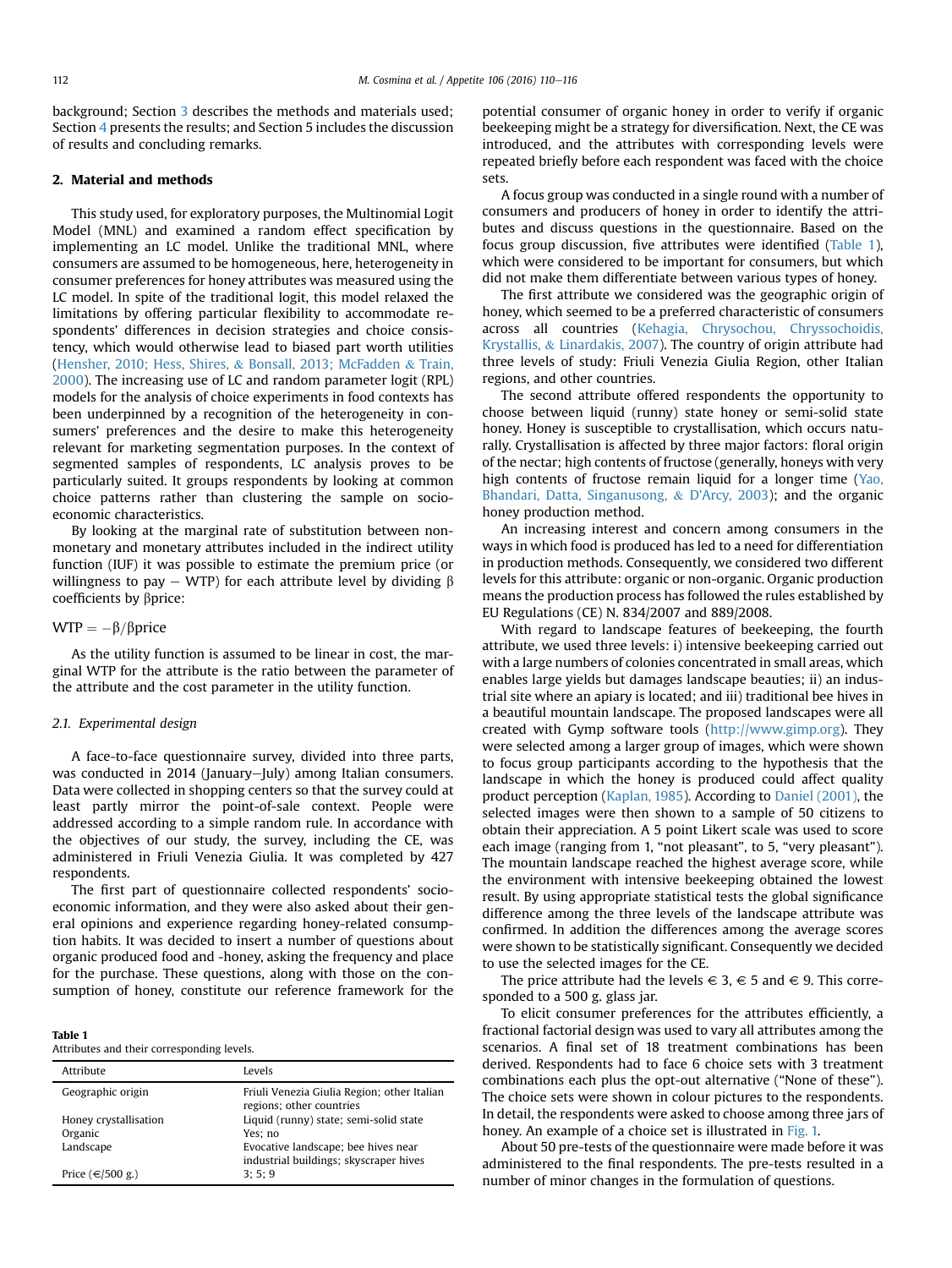<span id="page-2-0"></span>background; Section [3](#page-3-0) describes the methods and materials used; Section [4](#page-4-0) presents the results; and Section 5 includes the discussion of results and concluding remarks.

#### 2. Material and methods

This study used, for exploratory purposes, the Multinomial Logit Model (MNL) and examined a random effect specification by implementing an LC model. Unlike the traditional MNL, where consumers are assumed to be homogeneous, here, heterogeneity in consumer preferences for honey attributes was measured using the LC model. In spite of the traditional logit, this model relaxed the limitations by offering particular flexibility to accommodate respondents' differences in decision strategies and choice consistency, which would otherwise lead to biased part worth utilities ([Hensher, 2010; Hess, Shires,](#page-5-0) & [Bonsall, 2013; McFadden](#page-5-0) & [Train,](#page-5-0) [2000](#page-5-0)). The increasing use of LC and random parameter logit (RPL) models for the analysis of choice experiments in food contexts has been underpinned by a recognition of the heterogeneity in consumers' preferences and the desire to make this heterogeneity relevant for marketing segmentation purposes. In the context of segmented samples of respondents, LC analysis proves to be particularly suited. It groups respondents by looking at common choice patterns rather than clustering the sample on socioeconomic characteristics.

By looking at the marginal rate of substitution between nonmonetary and monetary attributes included in the indirect utility function (IUF) it was possible to estimate the premium price (or willingness to pay – WTP) for each attribute level by dividing  $\beta$ coefficients by  $\beta$ price:

## $WTP = -\beta/\beta$ price

As the utility function is assumed to be linear in cost, the marginal WTP for the attribute is the ratio between the parameter of the attribute and the cost parameter in the utility function.

### 2.1. Experimental design

A face-to-face questionnaire survey, divided into three parts, was conducted in 2014 (January-July) among Italian consumers. Data were collected in shopping centers so that the survey could at least partly mirror the point-of-sale context. People were addressed according to a simple random rule. In accordance with the objectives of our study, the survey, including the CE, was administered in Friuli Venezia Giulia. It was completed by 427 respondents.

The first part of questionnaire collected respondents' socioeconomic information, and they were also asked about their general opinions and experience regarding honey-related consumption habits. It was decided to insert a number of questions about organic produced food and -honey, asking the frequency and place for the purchase. These questions, along with those on the consumption of honey, constitute our reference framework for the

| m |  |
|---|--|
|   |  |

Attributes and their corresponding levels.

| Attribute              | Levels                                                                        |
|------------------------|-------------------------------------------------------------------------------|
| Geographic origin      | Friuli Venezia Giulia Region; other Italian<br>regions; other countries       |
| Honey crystallisation  | Liquid (runny) state; semi-solid state                                        |
| Organic                | Yes: no                                                                       |
| Landscape              | Evocative landscape; bee hives near<br>industrial buildings; skyscraper hives |
| Price ( $\in$ /500 g.) | 3:5:9                                                                         |

potential consumer of organic honey in order to verify if organic beekeeping might be a strategy for diversification. Next, the CE was introduced, and the attributes with corresponding levels were repeated briefly before each respondent was faced with the choice sets.

A focus group was conducted in a single round with a number of consumers and producers of honey in order to identify the attributes and discuss questions in the questionnaire. Based on the focus group discussion, five attributes were identified (Table 1), which were considered to be important for consumers, but which did not make them differentiate between various types of honey.

The first attribute we considered was the geographic origin of honey, which seemed to be a preferred characteristic of consumers across all countries ([Kehagia, Chrysochou, Chryssochoidis,](#page-6-0) [Krystallis,](#page-6-0) & [Linardakis, 2007](#page-6-0)). The country of origin attribute had three levels of study: Friuli Venezia Giulia Region, other Italian regions, and other countries.

The second attribute offered respondents the opportunity to choose between liquid (runny) state honey or semi-solid state honey. Honey is susceptible to crystallisation, which occurs naturally. Crystallisation is affected by three major factors: floral origin of the nectar; high contents of fructose (generally, honeys with very high contents of fructose remain liquid for a longer time ([Yao,](#page-6-0) [Bhandari, Datta, Singanusong,](#page-6-0) & D'[Arcy, 2003](#page-6-0)); and the organic honey production method.

An increasing interest and concern among consumers in the ways in which food is produced has led to a need for differentiation in production methods. Consequently, we considered two different levels for this attribute: organic or non-organic. Organic production means the production process has followed the rules established by EU Regulations (CE) N. 834/2007 and 889/2008.

With regard to landscape features of beekeeping, the fourth attribute, we used three levels: i) intensive beekeeping carried out with a large numbers of colonies concentrated in small areas, which enables large yields but damages landscape beauties; ii) an industrial site where an apiary is located; and iii) traditional bee hives in a beautiful mountain landscape. The proposed landscapes were all created with Gymp software tools ([http://www.gimp.org\)](http://www.gimp.org). They were selected among a larger group of images, which were shown to focus group participants according to the hypothesis that the landscape in which the honey is produced could affect quality product perception ([Kaplan, 1985\)](#page-6-0). According to [Daniel \(2001\)](#page-5-0), the selected images were then shown to a sample of 50 citizens to obtain their appreciation. A 5 point Likert scale was used to score each image (ranging from 1, "not pleasant", to 5, "very pleasant"). The mountain landscape reached the highest average score, while the environment with intensive beekeeping obtained the lowest result. By using appropriate statistical tests the global significance difference among the three levels of the landscape attribute was confirmed. In addition the differences among the average scores were shown to be statistically significant. Consequently we decided to use the selected images for the CE.

The price attribute had the levels  $\in$  3,  $\in$  5 and  $\in$  9. This corresponded to a 500 g. glass jar.

To elicit consumer preferences for the attributes efficiently, a fractional factorial design was used to vary all attributes among the scenarios. A final set of 18 treatment combinations has been derived. Respondents had to face 6 choice sets with 3 treatment combinations each plus the opt-out alternative ("None of these"). The choice sets were shown in colour pictures to the respondents. In detail, the respondents were asked to choose among three jars of honey. An example of a choice set is illustrated in [Fig. 1.](#page-3-0)

About 50 pre-tests of the questionnaire were made before it was administered to the final respondents. The pre-tests resulted in a number of minor changes in the formulation of questions.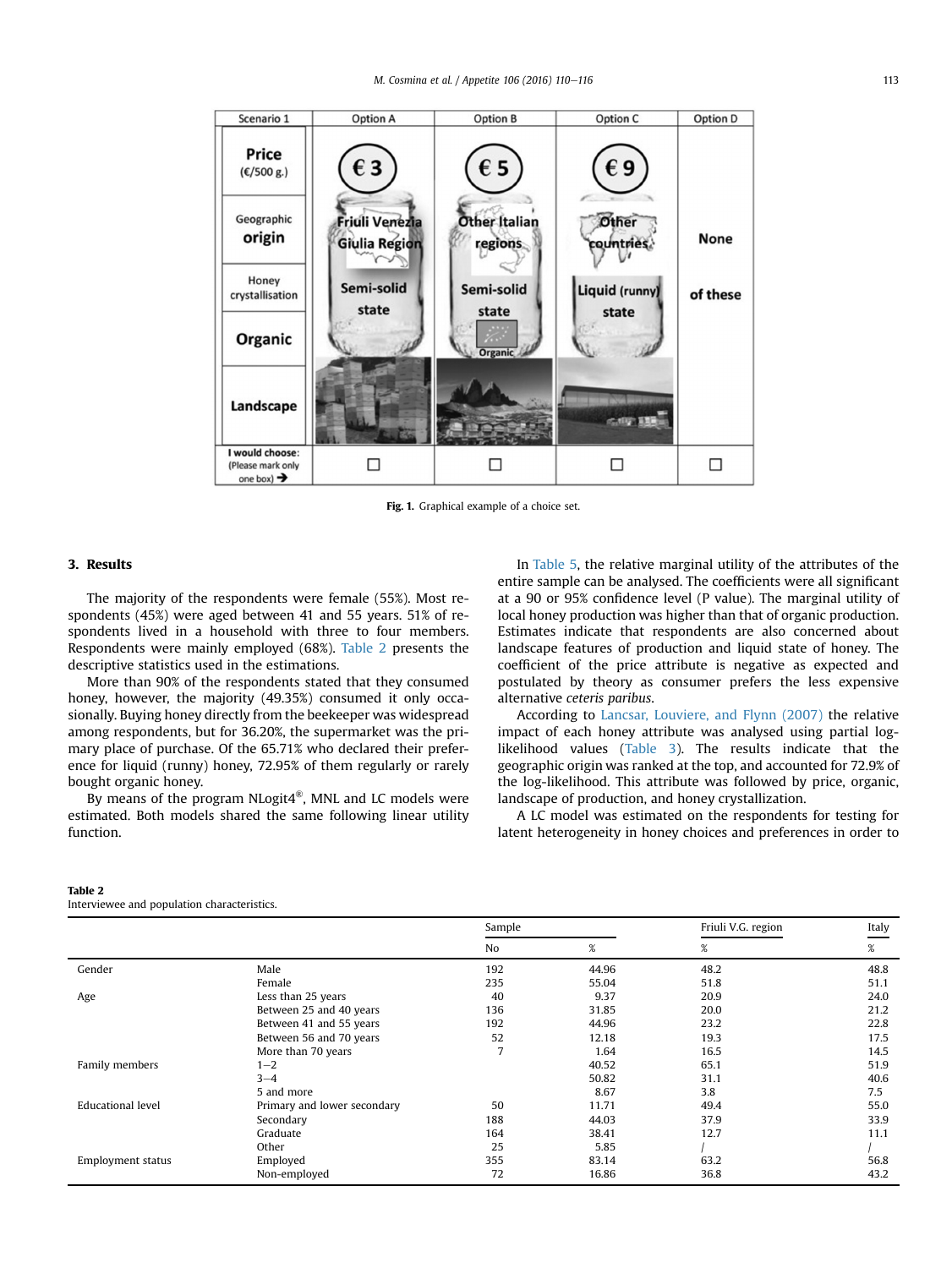<span id="page-3-0"></span>

Fig. 1. Graphical example of a choice set.

#### 3. Results

The majority of the respondents were female (55%). Most respondents (45%) were aged between 41 and 55 years. 51% of respondents lived in a household with three to four members. Respondents were mainly employed (68%). Table 2 presents the descriptive statistics used in the estimations.

More than 90% of the respondents stated that they consumed honey, however, the majority (49.35%) consumed it only occasionally. Buying honey directly from the beekeeper was widespread among respondents, but for 36.20%, the supermarket was the primary place of purchase. Of the 65.71% who declared their preference for liquid (runny) honey, 72.95% of them regularly or rarely bought organic honey.

By means of the program  $N$ Logit $4^{\circledR}$ , MNL and LC models were estimated. Both models shared the same following linear utility function.

## entire sample can be analysed. The coefficients were all significant at a 90 or 95% confidence level (P value). The marginal utility of local honey production was higher than that of organic production. Estimates indicate that respondents are also concerned about landscape features of production and liquid state of honey. The coefficient of the price attribute is negative as expected and postulated by theory as consumer prefers the less expensive alternative ceteris paribus. According to [Lancsar, Louviere, and Flynn \(2007\)](#page-6-0) the relative

In [Table 5](#page-4-0), the relative marginal utility of the attributes of the

impact of each honey attribute was analysed using partial loglikelihood values [\(Table 3](#page-4-0)). The results indicate that the geographic origin was ranked at the top, and accounted for 72.9% of the log-likelihood. This attribute was followed by price, organic, landscape of production, and honey crystallization.

A LC model was estimated on the respondents for testing for latent heterogeneity in honey choices and preferences in order to

|--|--|

Interviewee and population characteristics.

|                   |                             | Sample         |       | Friuli V.G. region | Italy |  |
|-------------------|-----------------------------|----------------|-------|--------------------|-------|--|
|                   |                             | N <sub>0</sub> | %     | $\%$               | $\%$  |  |
| Gender            | Male                        | 192            | 44.96 | 48.2               | 48.8  |  |
|                   | Female                      | 235            | 55.04 | 51.8               | 51.1  |  |
| Age               | Less than 25 years          | 40             | 9.37  | 20.9               | 24.0  |  |
|                   | Between 25 and 40 years     | 136            | 31.85 | 20.0               | 21.2  |  |
|                   | Between 41 and 55 years     | 192            | 44.96 | 23.2               | 22.8  |  |
|                   | Between 56 and 70 years     | 52             | 12.18 | 19.3               | 17.5  |  |
|                   | More than 70 years          |                | 1.64  | 16.5               | 14.5  |  |
| Family members    | $1 - 2$                     |                | 40.52 | 65.1               | 51.9  |  |
|                   | $3 - 4$                     |                | 50.82 | 31.1               | 40.6  |  |
|                   | 5 and more                  |                | 8.67  | 3.8                | 7.5   |  |
| Educational level | Primary and lower secondary | 50             | 11.71 | 49.4               | 55.0  |  |
|                   | Secondary                   | 188            | 44.03 | 37.9               | 33.9  |  |
|                   | Graduate                    | 164            | 38.41 | 12.7               | 11.1  |  |
|                   | Other                       | 25             | 5.85  |                    |       |  |
| Employment status | Employed                    | 355            | 83.14 | 63.2               | 56.8  |  |
|                   | Non-employed                | 72             | 16.86 | 36.8               | 43.2  |  |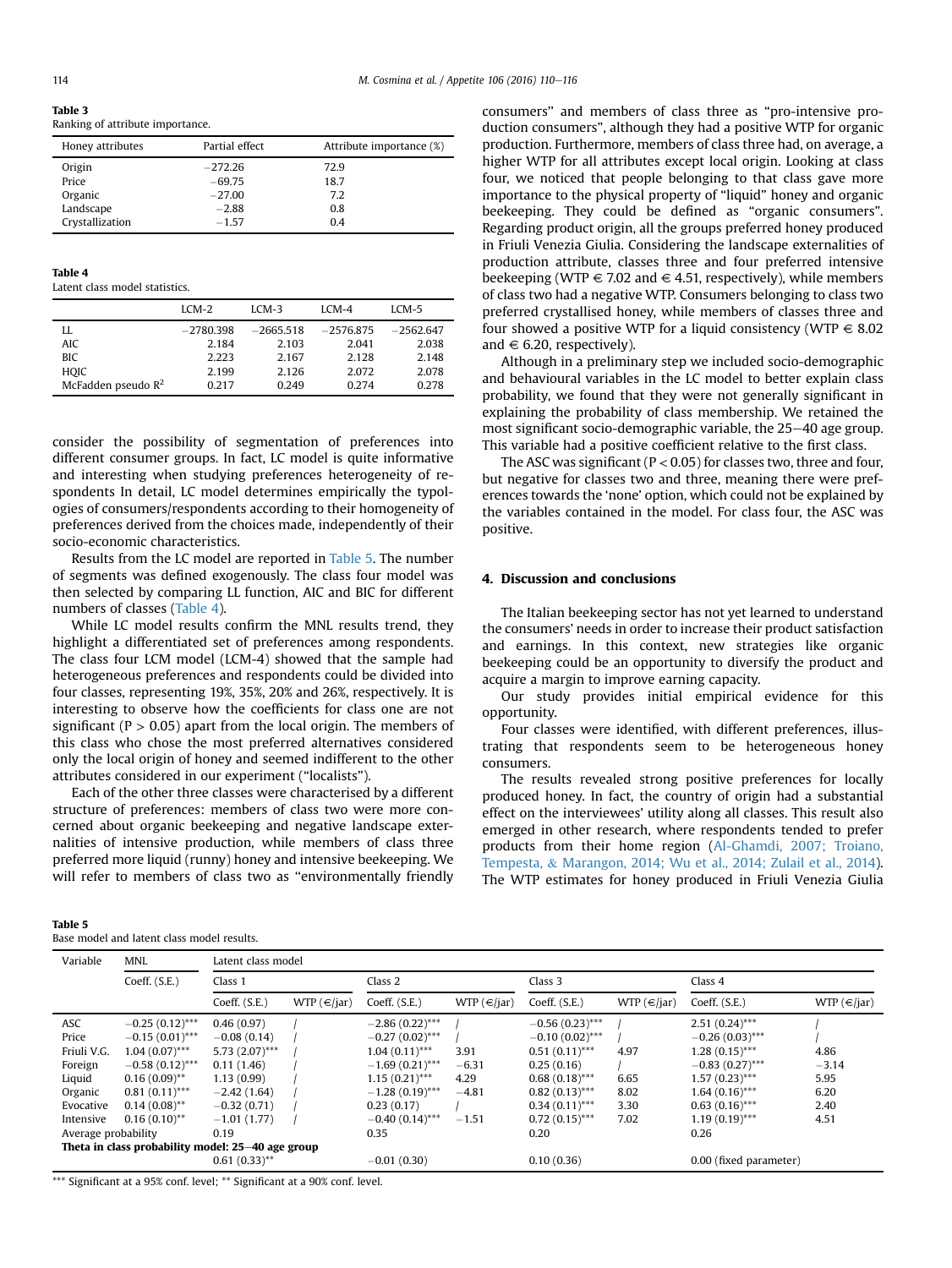<span id="page-4-0"></span>Table 3

## Ranking of attribute importance.

| Honey attributes | Partial effect | Attribute importance (%) |
|------------------|----------------|--------------------------|
| Origin           | $-272.26$      | 72.9                     |
| Price            | $-69.75$       | 18.7                     |
| Organic          | $-27.00$       | 7.2                      |
| Landscape        | $-2.88$        | 0.8                      |
| Crystallization  | $-1.57$        | 0.4                      |

#### Table 4

Latent class model statistics.

|                       | $LCM-2$<br>$LCM-3$ |             | LCM-4       | LCM-5       |  |
|-----------------------|--------------------|-------------|-------------|-------------|--|
| LL                    | $-2780.398$        | $-2665.518$ | $-2576.875$ | $-2562.647$ |  |
| AIC.                  | 2.184              | 2.103       | 2.041       | 2.038       |  |
| <b>BIC</b>            | 2.223              | 2.167       | 2.128       | 2.148       |  |
| HOIC                  | 2.199              | 2.126       | 2.072       | 2.078       |  |
| McFadden pseudo $R^2$ | 0.217              | 0.249       | 0.274       | 0.278       |  |

consider the possibility of segmentation of preferences into different consumer groups. In fact, LC model is quite informative and interesting when studying preferences heterogeneity of respondents In detail, LC model determines empirically the typologies of consumers/respondents according to their homogeneity of preferences derived from the choices made, independently of their socio-economic characteristics.

Results from the LC model are reported in Table 5. The number of segments was defined exogenously. The class four model was then selected by comparing LL function, AIC and BIC for different numbers of classes (Table 4).

While LC model results confirm the MNL results trend, they highlight a differentiated set of preferences among respondents. The class four LCM model (LCM-4) showed that the sample had heterogeneous preferences and respondents could be divided into four classes, representing 19%, 35%, 20% and 26%, respectively. It is interesting to observe how the coefficients for class one are not significant ( $P > 0.05$ ) apart from the local origin. The members of this class who chose the most preferred alternatives considered only the local origin of honey and seemed indifferent to the other attributes considered in our experiment ("localists").

Each of the other three classes were characterised by a different structure of preferences: members of class two were more concerned about organic beekeeping and negative landscape externalities of intensive production, while members of class three preferred more liquid (runny) honey and intensive beekeeping. We will refer to members of class two as "environmentally friendly

#### Table 5

Base model and latent class model results.

consumers'' and members of class three as "pro-intensive production consumers", although they had a positive WTP for organic production. Furthermore, members of class three had, on average, a higher WTP for all attributes except local origin. Looking at class four, we noticed that people belonging to that class gave more importance to the physical property of "liquid" honey and organic beekeeping. They could be defined as "organic consumers". Regarding product origin, all the groups preferred honey produced in Friuli Venezia Giulia. Considering the landscape externalities of production attribute, classes three and four preferred intensive beekeeping (WTP  $\in$  7.02 and  $\in$  4.51, respectively), while members of class two had a negative WTP. Consumers belonging to class two preferred crystallised honey, while members of classes three and four showed a positive WTP for a liquid consistency (WTP  $\in$  8.02 and  $\in$  6.20, respectively).

Although in a preliminary step we included socio-demographic and behavioural variables in the LC model to better explain class probability, we found that they were not generally significant in explaining the probability of class membership. We retained the most significant socio-demographic variable, the 25–40 age group. This variable had a positive coefficient relative to the first class.

The ASC was significant ( $P < 0.05$ ) for classes two, three and four, but negative for classes two and three, meaning there were preferences towards the 'none' option, which could not be explained by the variables contained in the model. For class four, the ASC was positive.

#### 4. Discussion and conclusions

The Italian beekeeping sector has not yet learned to understand the consumers' needs in order to increase their product satisfaction and earnings. In this context, new strategies like organic beekeeping could be an opportunity to diversify the product and acquire a margin to improve earning capacity.

Our study provides initial empirical evidence for this opportunity.

Four classes were identified, with different preferences, illustrating that respondents seem to be heterogeneous honey consumers.

The results revealed strong positive preferences for locally produced honey. In fact, the country of origin had a substantial effect on the interviewees' utility along all classes. This result also emerged in other research, where respondents tended to prefer products from their home region ([Al-Ghamdi, 2007; Troiano,](#page-5-0) [Tempesta,](#page-5-0) & [Marangon, 2014; Wu et al., 2014; Zulail et al., 2014\)](#page-5-0). The WTP estimates for honey produced in Friuli Venezia Giulia

| Variable                                          | <b>MNL</b>        | Latent class model |                    |                   |                    |                   |                    |                        |                    |
|---------------------------------------------------|-------------------|--------------------|--------------------|-------------------|--------------------|-------------------|--------------------|------------------------|--------------------|
|                                                   | Coeff. $(S.E.)$   | Class 1            |                    | Class 2           |                    | Class 3           |                    | Class 4                |                    |
|                                                   |                   | Coeff. (S.E.)      | WTP $(\infty)$ ar) | Coeff. $(S.E.)$   | WTP $(\infty)$ are | Coeff. $(S.E.)$   | WTP $(\infty)$ are | Coeff. $(S.E.)$        | WTP $(\infty)$ ar) |
| ASC                                               | $-0.25(0.12)$ *** | 0.46(0.97)         |                    | $-2.86(0.22)$ *** |                    | $-0.56(0.23)$ *** |                    | $2.51(0.24)$ ***       |                    |
| Price                                             | $-0.15(0.01)$ *** | $-0.08(0.14)$      |                    | $-0.27(0.02)$ *** |                    | $-0.10(0.02)$ *** |                    | $-0.26(0.03)$ ***      |                    |
| Friuli V.G.                                       | $1.04(0.07)$ ***  | $5.73(2.07)$ ***   |                    | $1.04(0.11)$ ***  | 3.91               | $0.51(0.11)$ ***  | 4.97               | $1.28(0.15)$ ***       | 4.86               |
| Foreign                                           | $-0.58(0.12)$ *** | 0.11(1.46)         |                    | $-1.69(0.21)$ *** | $-6.31$            | 0.25(0.16)        |                    | $-0.83(0.27)$ ***      | $-3.14$            |
| Liquid                                            | $0.16(0.09)$ **   | 1.13(0.99)         |                    | $1.15(0.21)$ ***  | 4.29               | $0.68(0.18)$ ***  | 6.65               | $1.57(0.23)$ ***       | 5.95               |
| Organic                                           | $0.81(0.11)$ ***  | $-2.42(1.64)$      |                    | $-1.28(0.19)$ *** | $-4.81$            | $0.82(0.13)$ ***  | 8.02               | $1.64(0.16)$ ***       | 6.20               |
| Evocative                                         | $0.14(0.08)$ **   | $-0.32(0.71)$      |                    | 0.23(0.17)        |                    | $0.34(0.11)$ ***  | 3.30               | $0.63(0.16)$ ***       | 2.40               |
| Intensive                                         | $0.16(0.10)$ **   | $-1.01(1.77)$      |                    | $-0.40(0.14)$ *** | $-1.51$            | $0.72(0.15)$ ***  | 7.02               | $1.19(0.19)$ ***       | 4.51               |
| Average probability                               |                   | 0.19               |                    | 0.35              |                    | 0.20              |                    | 0.26                   |                    |
| Theta in class probability model: 25–40 age group |                   |                    |                    |                   |                    |                   |                    |                        |                    |
|                                                   |                   | $0.61(0.33)$ **    |                    | $-0.01(0.30)$     |                    | 0.10(0.36)        |                    | 0.00 (fixed parameter) |                    |

\*\*\* Significant at a 95% conf. level; \*\* Significant at a 90% conf. level.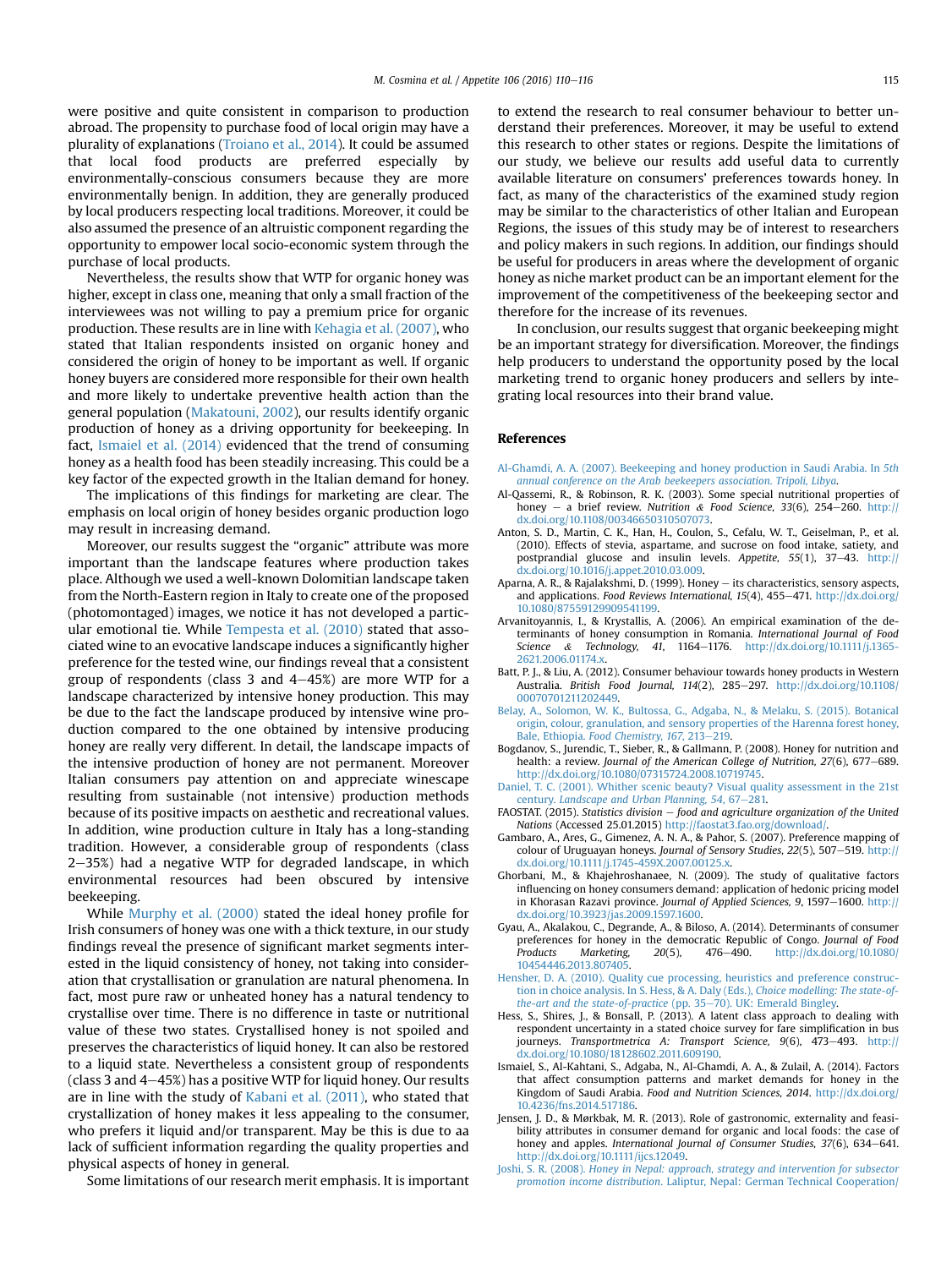<span id="page-5-0"></span>were positive and quite consistent in comparison to production abroad. The propensity to purchase food of local origin may have a plurality of explanations ([Troiano et al., 2014](#page-6-0)). It could be assumed that local food products are preferred especially by environmentally-conscious consumers because they are more environmentally benign. In addition, they are generally produced by local producers respecting local traditions. Moreover, it could be also assumed the presence of an altruistic component regarding the opportunity to empower local socio-economic system through the purchase of local products.

Nevertheless, the results show that WTP for organic honey was higher, except in class one, meaning that only a small fraction of the interviewees was not willing to pay a premium price for organic production. These results are in line with [Kehagia et al. \(2007\)](#page-6-0), who stated that Italian respondents insisted on organic honey and considered the origin of honey to be important as well. If organic honey buyers are considered more responsible for their own health and more likely to undertake preventive health action than the general population [\(Makatouni, 2002\)](#page-6-0), our results identify organic production of honey as a driving opportunity for beekeeping. In fact, Ismaiel et al. (2014) evidenced that the trend of consuming honey as a health food has been steadily increasing. This could be a key factor of the expected growth in the Italian demand for honey.

The implications of this findings for marketing are clear. The emphasis on local origin of honey besides organic production logo may result in increasing demand.

Moreover, our results suggest the "organic" attribute was more important than the landscape features where production takes place. Although we used a well-known Dolomitian landscape taken from the North-Eastern region in Italy to create one of the proposed (photomontaged) images, we notice it has not developed a particular emotional tie. While [Tempesta et al. \(2010\)](#page-6-0) stated that associated wine to an evocative landscape induces a significantly higher preference for the tested wine, our findings reveal that a consistent group of respondents (class 3 and  $4-45%$ ) are more WTP for a landscape characterized by intensive honey production. This may be due to the fact the landscape produced by intensive wine production compared to the one obtained by intensive producing honey are really very different. In detail, the landscape impacts of the intensive production of honey are not permanent. Moreover Italian consumers pay attention on and appreciate winescape resulting from sustainable (not intensive) production methods because of its positive impacts on aesthetic and recreational values. In addition, wine production culture in Italy has a long-standing tradition. However, a considerable group of respondents (class  $2-35%$ ) had a negative WTP for degraded landscape, in which environmental resources had been obscured by intensive beekeeping.

While [Murphy et al. \(2000\)](#page-6-0) stated the ideal honey profile for Irish consumers of honey was one with a thick texture, in our study findings reveal the presence of significant market segments interested in the liquid consistency of honey, not taking into consideration that crystallisation or granulation are natural phenomena. In fact, most pure raw or unheated honey has a natural tendency to crystallise over time. There is no difference in taste or nutritional value of these two states. Crystallised honey is not spoiled and preserves the characteristics of liquid honey. It can also be restored to a liquid state. Nevertheless a consistent group of respondents (class 3 and  $4-45%$ ) has a positive WTP for liquid honey. Our results are in line with the study of [Kabani et al. \(2011\)](#page-6-0), who stated that crystallization of honey makes it less appealing to the consumer, who prefers it liquid and/or transparent. May be this is due to aa lack of sufficient information regarding the quality properties and physical aspects of honey in general.

Some limitations of our research merit emphasis. It is important

to extend the research to real consumer behaviour to better understand their preferences. Moreover, it may be useful to extend this research to other states or regions. Despite the limitations of our study, we believe our results add useful data to currently available literature on consumers' preferences towards honey. In fact, as many of the characteristics of the examined study region may be similar to the characteristics of other Italian and European Regions, the issues of this study may be of interest to researchers and policy makers in such regions. In addition, our findings should be useful for producers in areas where the development of organic honey as niche market product can be an important element for the improvement of the competitiveness of the beekeeping sector and therefore for the increase of its revenues.

In conclusion, our results suggest that organic beekeeping might be an important strategy for diversification. Moreover, the findings help producers to understand the opportunity posed by the local marketing trend to organic honey producers and sellers by integrating local resources into their brand value.

#### References

- [Al-Ghamdi, A. A. \(2007\). Beekeeping and honey production in Saudi Arabia. In](http://refhub.elsevier.com/S0195-6663(16)30319-1/sref1) 5th [annual conference on the Arab beekeepers association. Tripoli, Libya](http://refhub.elsevier.com/S0195-6663(16)30319-1/sref1).
- Al-Qassemi, R., & Robinson, R. K. (2003). Some special nutritional properties of honey - a brief review. Nutrition & Food Science, 33(6), 254-260. [http://](http://dx.doi.org/10.1108/00346650310507073) [dx.doi.org/10.1108/00346650310507073](http://dx.doi.org/10.1108/00346650310507073).
- Anton, S. D., Martin, C. K., Han, H., Coulon, S., Cefalu, W. T., Geiselman, P., et al. (2010). Effects of stevia, aspartame, and sucrose on food intake, satiety, and postprandial glucose and insulin levels. Appetite, 55(1), 37-43. [http://](http://dx.doi.org/10.1016/j.appet.2010.03.009) [dx.doi.org/10.1016/j.appet.2010.03.009.](http://dx.doi.org/10.1016/j.appet.2010.03.009)
- Aparna, A. R., & Rajalakshmi, D. (1999). Honey its characteristics, sensory aspects, and applications. Food Reviews International, 15(4), 455-471. [http://dx.doi.org/](http://dx.doi.org/10.1080/87559129909541199) [10.1080/87559129909541199](http://dx.doi.org/10.1080/87559129909541199).
- Arvanitoyannis, I., & Krystallis, A. (2006). An empirical examination of the determinants of honey consumption in Romania. International Journal of Food Science & Technology, 41, 1164-1176. [http://dx.doi.org/10.1111/j.1365-](http://dx.doi.org/10.1111/j.1365-2621.2006.01174.x) [2621.2006.01174.x](http://dx.doi.org/10.1111/j.1365-2621.2006.01174.x).
- Batt, P. J., & Liu, A. (2012). Consumer behaviour towards honey products in Western Australia. British Food Journal, 114(2), 285-297. [http://dx.doi.org/10.1108/](http://dx.doi.org/10.1108/00070701211202449) [00070701211202449.](http://dx.doi.org/10.1108/00070701211202449)
- [Belay, A., Solomon, W. K., Bultossa, G., Adgaba, N., & Melaku, S. \(2015\). Botanical](http://refhub.elsevier.com/S0195-6663(16)30319-1/sref7) [origin, colour, granulation, and sensory properties of the Harenna forest honey,](http://refhub.elsevier.com/S0195-6663(16)30319-1/sref7) Bale, Ethiopia. [Food Chemistry, 167](http://refhub.elsevier.com/S0195-6663(16)30319-1/sref7), 213-[219.](http://refhub.elsevier.com/S0195-6663(16)30319-1/sref7)
- Bogdanov, S., Jurendic, T., Sieber, R., & Gallmann, P. (2008). Honey for nutrition and health: a review. Journal of the American College of Nutrition,  $27(6)$ ,  $677-689$ . [http://dx.doi.org/10.1080/07315724.2008.10719745.](http://dx.doi.org/10.1080/07315724.2008.10719745)
- [Daniel, T. C. \(2001\). Whither scenic beauty? Visual quality assessment in the 21st](http://refhub.elsevier.com/S0195-6663(16)30319-1/sref9) century. [Landscape and Urban Planning, 54](http://refhub.elsevier.com/S0195-6663(16)30319-1/sref9), 67-[281.](http://refhub.elsevier.com/S0195-6663(16)30319-1/sref9)
- FAOSTAT. (2015). Statistics division  $-$  food and agriculture organization of the United Nations (Accessed 25.01.2015) <http://faostat3.fao.org/download/>.
- Gambaro, A., Ares, G., Gimenez, A. N. A., & Pahor, S. (2007). Preference mapping of colour of Uruguayan honeys. Journal of Sensory Studies, 22(5), 507-519. [http://](http://dx.doi.org/10.1111/j.1745-459X.2007.00125.x) [dx.doi.org/10.1111/j.1745-459X.2007.00125.x.](http://dx.doi.org/10.1111/j.1745-459X.2007.00125.x)
- Ghorbani, M., & Khajehroshanaee, N. (2009). The study of qualitative factors influencing on honey consumers demand: application of hedonic pricing model in Khorasan Razavi province. Journal of Applied Sciences, 9, 1597-1600. [http://](http://dx.doi.org/10.3923/jas.2009.1597.1600) [dx.doi.org/10.3923/jas.2009.1597.1600](http://dx.doi.org/10.3923/jas.2009.1597.1600).
- Gyau, A., Akalakou, C., Degrande, A., & Biloso, A. (2014). Determinants of consumer preferences for honey in the democratic Republic of Congo. Journal of Food<br>Products Marketing. 20(5). 476–490. http://dx.doi.org/10.1080/ Products Marketing, 20(5), 476-490. [http://dx.doi.org/10.1080/](http://dx.doi.org/10.1080/10454446.2013.807405) [10454446.2013.807405.](http://dx.doi.org/10.1080/10454446.2013.807405)
- [Hensher, D. A. \(2010\). Quality cue processing, heuristics and preference construc](http://refhub.elsevier.com/S0195-6663(16)30319-1/sref14)[tion in choice analysis. In S. Hess, & A. Daly \(Eds.\),](http://refhub.elsevier.com/S0195-6663(16)30319-1/sref14) Choice modelling: The state-of-<br>[the-art and the state-of-practice](http://refhub.elsevier.com/S0195-6663(16)30319-1/sref14) (pp. 35–[70\). UK: Emerald Bingley.](http://refhub.elsevier.com/S0195-6663(16)30319-1/sref14)
- Hess, S., Shires, J., & Bonsall, P. (2013). A latent class approach to dealing with respondent uncertainty in a stated choice survey for fare simplification in bus journeys. Transportmetrica A: Transport Science, 9(6), 473-493. [http://](http://dx.doi.org/10.1080/18128602.2011.609190) [dx.doi.org/10.1080/18128602.2011.609190.](http://dx.doi.org/10.1080/18128602.2011.609190)
- Ismaiel, S., Al-Kahtani, S., Adgaba, N., Al-Ghamdi, A. A., & Zulail, A. (2014). Factors that affect consumption patterns and market demands for honey in the Kingdom of Saudi Arabia. Food and Nutrition Sciences, 2014. [http://dx.doi.org/](http://dx.doi.org/10.4236/fns.2014.517186) [10.4236/fns.2014.517186](http://dx.doi.org/10.4236/fns.2014.517186).
- Jensen, J. D., & Mørkbak, M. R. (2013). Role of gastronomic, externality and feasibility attributes in consumer demand for organic and local foods: the case of honey and apples. International Journal of Consumer Studies, 37(6), 634-641. [http://dx.doi.org/10.1111/ijcs.12049.](http://dx.doi.org/10.1111/ijcs.12049)
- Joshi, S. R. (2008). [Honey in Nepal: approach, strategy and intervention for subsector](http://refhub.elsevier.com/S0195-6663(16)30319-1/sref18) promotion income distribution[. Laliptur, Nepal: German Technical Cooperation/](http://refhub.elsevier.com/S0195-6663(16)30319-1/sref18)